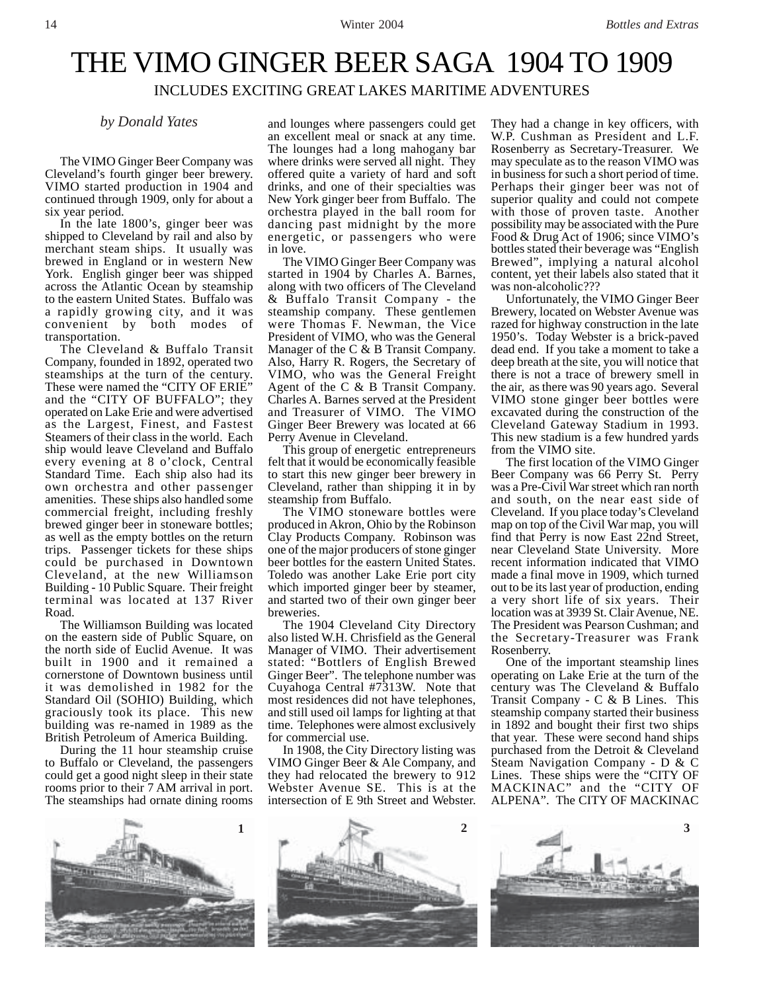# THE VIMO GINGER BEER SAGA 1904 TO 1909

# INCLUDES EXCITING GREAT LAKES MARITIME ADVENTURES

The VIMO Ginger Beer Company was Cleveland's fourth ginger beer brewery. VIMO started production in 1904 and continued through 1909, only for about a six year period.

In the late 1800's, ginger beer was shipped to Cleveland by rail and also by merchant steam ships. It usually was brewed in England or in western New York. English ginger beer was shipped across the Atlantic Ocean by steamship to the eastern United States. Buffalo was a rapidly growing city, and it was convenient by both modes of transportation.

The Cleveland & Buffalo Transit Company, founded in 1892, operated two steamships at the turn of the century. These were named the "CITY OF ERIE" and the "CITY OF BUFFALO"; they operated on Lake Erie and were advertised as the Largest, Finest, and Fastest Steamers of their class in the world. Each ship would leave Cleveland and Buffalo every evening at 8 o'clock, Central Standard Time. Each ship also had its own orchestra and other passenger amenities. These ships also handled some commercial freight, including freshly brewed ginger beer in stoneware bottles; as well as the empty bottles on the return trips. Passenger tickets for these ships could be purchased in Downtown Cleveland, at the new Williamson Building - 10 Public Square. Their freight terminal was located at 137 River Road.

The Williamson Building was located on the eastern side of Public Square, on the north side of Euclid Avenue. It was built in 1900 and it remained a cornerstone of Downtown business until it was demolished in 1982 for the Standard Oil (SOHIO) Building, which graciously took its place. This new building was re-named in 1989 as the British Petroleum of America Building.

During the 11 hour steamship cruise to Buffalo or Cleveland, the passengers could get a good night sleep in their state rooms prior to their 7 AM arrival in port. The steamships had ornate dining rooms

*by Donald Yates* and lounges where passengers could get an excellent meal or snack at any time. The lounges had a long mahogany bar where drinks were served all night. They offered quite a variety of hard and soft drinks, and one of their specialties was New York ginger beer from Buffalo. The orchestra played in the ball room for dancing past midnight by the more energetic, or passengers who were in love.

The VIMO Ginger Beer Company was started in 1904 by Charles A. Barnes, along with two officers of The Cleveland & Buffalo Transit Company - the steamship company. These gentlemen were Thomas F. Newman, the Vice President of VIMO, who was the General Manager of the C & B Transit Company. Also, Harry R. Rogers, the Secretary of VIMO, who was the General Freight Agent of the C & B Transit Company. Charles A. Barnes served at the President and Treasurer of VIMO. The VIMO Ginger Beer Brewery was located at 66 Perry Avenue in Cleveland.

This group of energetic entrepreneurs felt that it would be economically feasible to start this new ginger beer brewery in Cleveland, rather than shipping it in by steamship from Buffalo.

The VIMO stoneware bottles were produced in Akron, Ohio by the Robinson Clay Products Company. Robinson was one of the major producers of stone ginger beer bottles for the eastern United States. Toledo was another Lake Erie port city which imported ginger beer by steamer, and started two of their own ginger beer breweries.

The 1904 Cleveland City Directory also listed W.H. Chrisfield as the General Manager of VIMO. Their advertisement stated: "Bottlers of English Brewed Ginger Beer". The telephone number was Cuyahoga Central #7313W. Note that most residences did not have telephones, and still used oil lamps for lighting at that time. Telephones were almost exclusively for commercial use.

In 1908, the City Directory listing was VIMO Ginger Beer & Ale Company, and they had relocated the brewery to 912 Webster Avenue SE. This is at the intersection of E 9th Street and Webster.

They had a change in key officers, with W.P. Cushman as President and L.F. Rosenberry as Secretary-Treasurer. We may speculate as to the reason VIMO was in business for such a short period of time. Perhaps their ginger beer was not of superior quality and could not compete with those of proven taste. Another possibility may be associated with the Pure Food & Drug Act of 1906; since VIMO's bottles stated their beverage was "English Brewed", implying a natural alcohol content, yet their labels also stated that it was non-alcoholic???

Unfortunately, the VIMO Ginger Beer Brewery, located on Webster Avenue was razed for highway construction in the late 1950's. Today Webster is a brick-paved dead end. If you take a moment to take a deep breath at the site, you will notice that there is not a trace of brewery smell in the air, as there was 90 years ago. Several VIMO stone ginger beer bottles were excavated during the construction of the Cleveland Gateway Stadium in 1993. This new stadium is a few hundred yards from the VIMO site.

The first location of the VIMO Ginger Beer Company was 66 Perry St. Perry was a Pre-Civil War street which ran north and south, on the near east side of Cleveland. If you place today's Cleveland map on top of the Civil War map, you will find that Perry is now East 22nd Street, near Cleveland State University. More recent information indicated that VIMO made a final move in 1909, which turned out to be its last year of production, ending a very short life of six years. Their location was at 3939 St. Clair Avenue, NE. The President was Pearson Cushman; and the Secretary-Treasurer was Frank Rosenberry.

One of the important steamship lines operating on Lake Erie at the turn of the century was The Cleveland & Buffalo Transit Company - C & B Lines. This steamship company started their business in 1892 and bought their first two ships that year. These were second hand ships purchased from the Detroit & Cleveland Steam Navigation Company - D & C Lines. These ships were the "CITY OF MACKINAC" and the "CITY OF ALPENA". The CITY OF MACKINAC





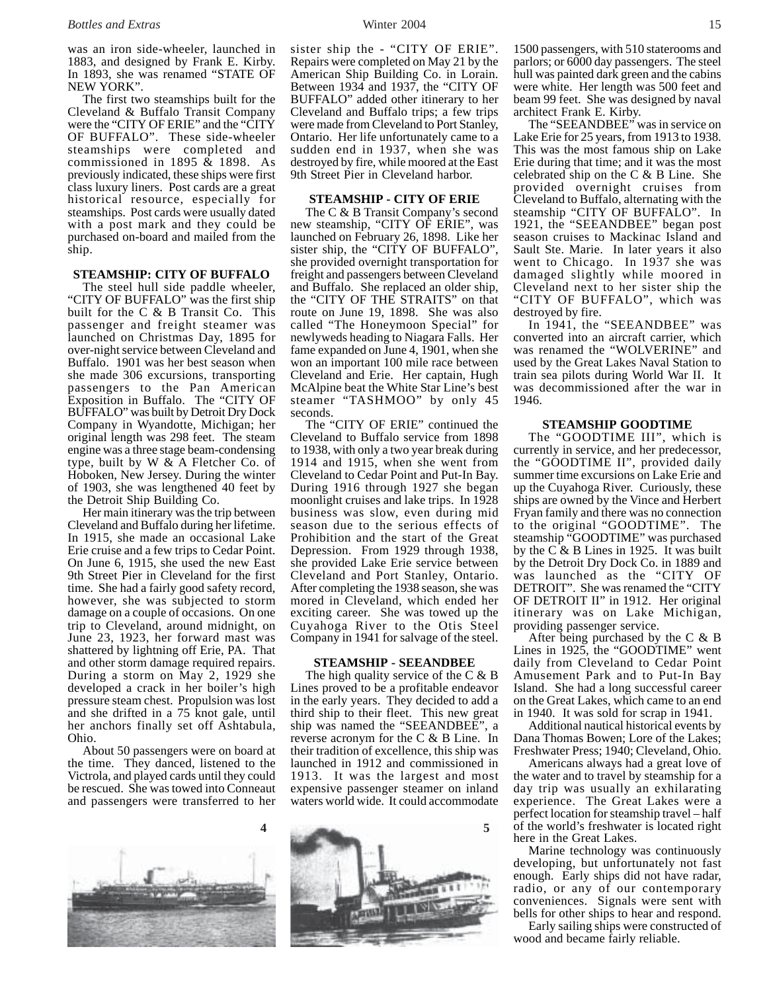was an iron side-wheeler, launched in 1883, and designed by Frank E. Kirby. In 1893, she was renamed "STATE OF NEW YORK".

The first two steamships built for the Cleveland & Buffalo Transit Company were the "CITY OF ERIE" and the "CITY OF BUFFALO". These side-wheeler steamships were completed and commissioned in 1895 & 1898. As previously indicated, these ships were first class luxury liners. Post cards are a great historical resource, especially for steamships. Post cards were usually dated with a post mark and they could be purchased on-board and mailed from the ship.

### **STEAMSHIP: CITY OF BUFFALO**

The steel hull side paddle wheeler, "CITY OF BUFFALO" was the first ship built for the C & B Transit Co. This passenger and freight steamer was launched on Christmas Day, 1895 for over-night service between Cleveland and Buffalo. 1901 was her best season when she made 306 excursions, transporting passengers to the Pan American Exposition in Buffalo. The "CITY OF BUFFALO" was built by Detroit Dry Dock Company in Wyandotte, Michigan; her original length was 298 feet. The steam engine was a three stage beam-condensing type, built by W & A Fletcher Co. of Hoboken, New Jersey. During the winter of 1903, she was lengthened 40 feet by the Detroit Ship Building Co.

Her main itinerary was the trip between Cleveland and Buffalo during her lifetime. In 1915, she made an occasional Lake Erie cruise and a few trips to Cedar Point. On June 6, 1915, she used the new East 9th Street Pier in Cleveland for the first time. She had a fairly good safety record, however, she was subjected to storm damage on a couple of occasions. On one trip to Cleveland, around midnight, on June 23, 1923, her forward mast was shattered by lightning off Erie, PA. That and other storm damage required repairs. During a storm on May 2, 1929 she developed a crack in her boiler's high pressure steam chest. Propulsion was lost and she drifted in a 75 knot gale, until her anchors finally set off Ashtabula, Ohio.

About 50 passengers were on board at the time. They danced, listened to the Victrola, and played cards until they could be rescued. She was towed into Conneaut and passengers were transferred to her



sister ship the - "CITY OF ERIE". Repairs were completed on May 21 by the American Ship Building Co. in Lorain. Between 1934 and 1937, the "CITY OF BUFFALO" added other itinerary to her Cleveland and Buffalo trips; a few trips were made from Cleveland to Port Stanley, Ontario. Her life unfortunately came to a sudden end in 1937, when she was destroyed by fire, while moored at the East 9th Street Pier in Cleveland harbor.

#### **STEAMSHIP - CITY OF ERIE**

The C & B Transit Company's second new steamship, "CITY OF ERIE", was launched on February 26, 1898. Like her sister ship, the "CITY OF BUFFALO", she provided overnight transportation for freight and passengers between Cleveland and Buffalo. She replaced an older ship, the "CITY OF THE STRAITS" on that route on June 19, 1898. She was also called "The Honeymoon Special" for newlyweds heading to Niagara Falls. Her fame expanded on June 4, 1901, when she won an important 100 mile race between Cleveland and Erie. Her captain, Hugh McAlpine beat the White Star Line's best steamer "TASHMOO" by only 45 seconds.

The "CITY OF ERIE" continued the Cleveland to Buffalo service from 1898 to 1938, with only a two year break during 1914 and 1915, when she went from Cleveland to Cedar Point and Put-In Bay. During 1916 through 1927 she began moonlight cruises and lake trips. In 1928 business was slow, even during mid season due to the serious effects of Prohibition and the start of the Great Depression. From 1929 through 1938, she provided Lake Erie service between Cleveland and Port Stanley, Ontario. After completing the 1938 season, she was mored in Cleveland, which ended her exciting career. She was towed up the Cuyahoga River to the Otis Steel Company in 1941 for salvage of the steel.

#### **STEAMSHIP - SEEANDBEE**

The high quality service of the C & B Lines proved to be a profitable endeavor in the early years. They decided to add a third ship to their fleet. This new great ship was named the "SEEANDBEE", a reverse acronym for the C & B Line. In their tradition of excellence, this ship was launched in 1912 and commissioned in 1913. It was the largest and most expensive passenger steamer on inland waters world wide. It could accommodate



1500 passengers, with 510 staterooms and parlors; or 6000 day passengers. The steel hull was painted dark green and the cabins were white. Her length was 500 feet and beam 99 feet. She was designed by naval architect Frank E. Kirby.

The "SEEANDBEE" was in service on Lake Erie for 25 years, from 1913 to 1938. This was the most famous ship on Lake Erie during that time; and it was the most celebrated ship on the C & B Line. She provided overnight cruises from Cleveland to Buffalo, alternating with the steamship "CITY OF BUFFALO". In 1921, the "SEEANDBEE" began post season cruises to Mackinac Island and Sault Ste. Marie. In later years it also went to Chicago. In 1937 she was damaged slightly while moored in Cleveland next to her sister ship the "CITY OF BUFFALO", which was destroyed by fire.

In 1941, the "SEEANDBEE" was converted into an aircraft carrier, which was renamed the "WOLVERINE" and used by the Great Lakes Naval Station to train sea pilots during World War II. It was decommissioned after the war in 1946.

#### **STEAMSHIP GOODTIME**

The "GOODTIME III", which is currently in service, and her predecessor, the "GOODTIME II", provided daily summer time excursions on Lake Erie and up the Cuyahoga River. Curiously, these ships are owned by the Vince and Herbert Fryan family and there was no connection to the original "GOODTIME". The steamship "GOODTIME" was purchased by the  $\tilde{C} \& B$  Lines in 1925. It was built by the Detroit Dry Dock Co. in 1889 and was launched as the "CITY OF DETROIT". She was renamed the "CITY OF DETROIT II" in 1912. Her original itinerary was on Lake Michigan, providing passenger service.

After being purchased by the  $C & B$ Lines in 1925, the "GOODTIME" went daily from Cleveland to Cedar Point Amusement Park and to Put-In Bay Island. She had a long successful career on the Great Lakes, which came to an end in 1940. It was sold for scrap in 1941.

Additional nautical historical events by Dana Thomas Bowen; Lore of the Lakes; Freshwater Press; 1940; Cleveland, Ohio.

Americans always had a great love of the water and to travel by steamship for a day trip was usually an exhilarating experience. The Great Lakes were a perfect location for steamship travel – half of the world's freshwater is located right here in the Great Lakes.

Marine technology was continuously developing, but unfortunately not fast enough. Early ships did not have radar, radio, or any of our contemporary conveniences. Signals were sent with bells for other ships to hear and respond.

Early sailing ships were constructed of wood and became fairly reliable.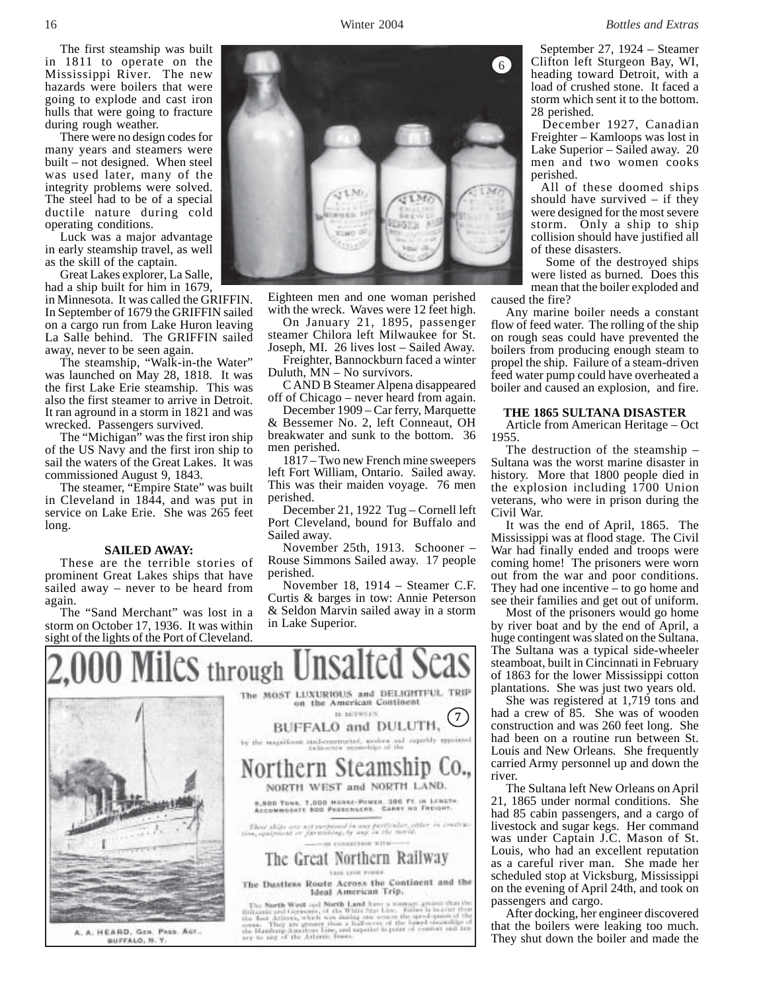The first steamship was built in 1811 to operate on the Mississippi River. The new hazards were boilers that were going to explode and cast iron hulls that were going to fracture during rough weather.

There were no design codes for many years and steamers were built – not designed. When steel was used later, many of the integrity problems were solved. The steel had to be of a special ductile nature during cold operating conditions.

Luck was a major advantage in early steamship travel, as well as the skill of the captain.

Great Lakes explorer, La Salle, had a ship built for him in 1679,

in Minnesota. It was called the GRIFFIN. In September of 1679 the GRIFFIN sailed on a cargo run from Lake Huron leaving La Salle behind. The GRIFFIN sailed away, never to be seen again.

The steamship, "Walk-in-the Water" was launched on May 28, 1818. It was the first Lake Erie steamship. This was also the first steamer to arrive in Detroit. It ran aground in a storm in 1821 and was wrecked. Passengers survived.

The "Michigan" was the first iron ship of the US Navy and the first iron ship to sail the waters of the Great Lakes. It was commissioned August 9, 1843.

The steamer, "Empire State" was built in Cleveland in 1844, and was put in service on Lake Erie. She was 265 feet long.

#### **SAILED AWAY:**

These are the terrible stories of prominent Great Lakes ships that have sailed away – never to be heard from again.

The "Sand Merchant" was lost in a storm on October 17, 1936. It was within sight of the lights of the Port of Cleveland.



Eighteen men and one woman perished with the wreck. Waves were 12 feet high.

On January 21, 1895, passenger steamer Chilora left Milwaukee for St. Joseph, MI. 26 lives lost – Sailed Away.

Freighter, Bannockburn faced a winter Duluth, MN – No survivors.

C AND B Steamer Alpena disappeared off of Chicago – never heard from again.

December 1909 – Car ferry, Marquette & Bessemer No. 2, left Conneaut, OH breakwater and sunk to the bottom. 36 men perished.

1817 – Two new French mine sweepers left Fort William, Ontario. Sailed away. This was their maiden voyage. 76 men perished.

December 21, 1922 Tug – Cornell left Port Cleveland, bound for Buffalo and Sailed away.

November 25th, 1913. Schooner – Rouse Simmons Sailed away. 17 people perished.

November 18, 1914 – Steamer C.F. Curtis & barges in tow: Annie Peterson & Seldon Marvin sailed away in a storm in Lake Superior.



 September 27, 1924 – Steamer Clifton left Sturgeon Bay, WI, heading toward Detroit, with a load of crushed stone. It faced a storm which sent it to the bottom. 28 perished.

 December 1927, Canadian Freighter – Kamloops was lost in Lake Superior – Sailed away. 20 men and two women cooks perished.

 All of these doomed ships should have survived – if they were designed for the most severe storm. Only a ship to ship collision should have justified all of these disasters.

 Some of the destroyed ships were listed as burned. Does this mean that the boiler exploded and caused the fire?

Any marine boiler needs a constant flow of feed water. The rolling of the ship on rough seas could have prevented the boilers from producing enough steam to propel the ship. Failure of a steam-driven feed water pump could have overheated a boiler and caused an explosion, and fire.

#### **THE 1865 SULTANA DISASTER**

Article from American Heritage – Oct 1955.

The destruction of the steamship – Sultana was the worst marine disaster in history. More that 1800 people died in the explosion including 1700 Union veterans, who were in prison during the Civil War.

It was the end of April, 1865. The Mississippi was at flood stage. The Civil War had finally ended and troops were coming home! The prisoners were worn out from the war and poor conditions. They had one incentive – to go home and see their families and get out of uniform.

Most of the prisoners would go home by river boat and by the end of April, a huge contingent was slated on the Sultana. The Sultana was a typical side-wheeler steamboat, built in Cincinnati in February of 1863 for the lower Mississippi cotton plantations. She was just two years old.

She was registered at 1,719 tons and had a crew of 85. She was of wooden construction and was 260 feet long. She had been on a routine run between St. Louis and New Orleans. She frequently carried Army personnel up and down the river.

The Sultana left New Orleans on April 21, 1865 under normal conditions. She had 85 cabin passengers, and a cargo of livestock and sugar kegs. Her command was under Captain J.C. Mason of St. Louis, who had an excellent reputation as a careful river man. She made her scheduled stop at Vicksburg, Mississippi on the evening of April 24th, and took on passengers and cargo.

After docking, her engineer discovered that the boilers were leaking too much. They shut down the boiler and made the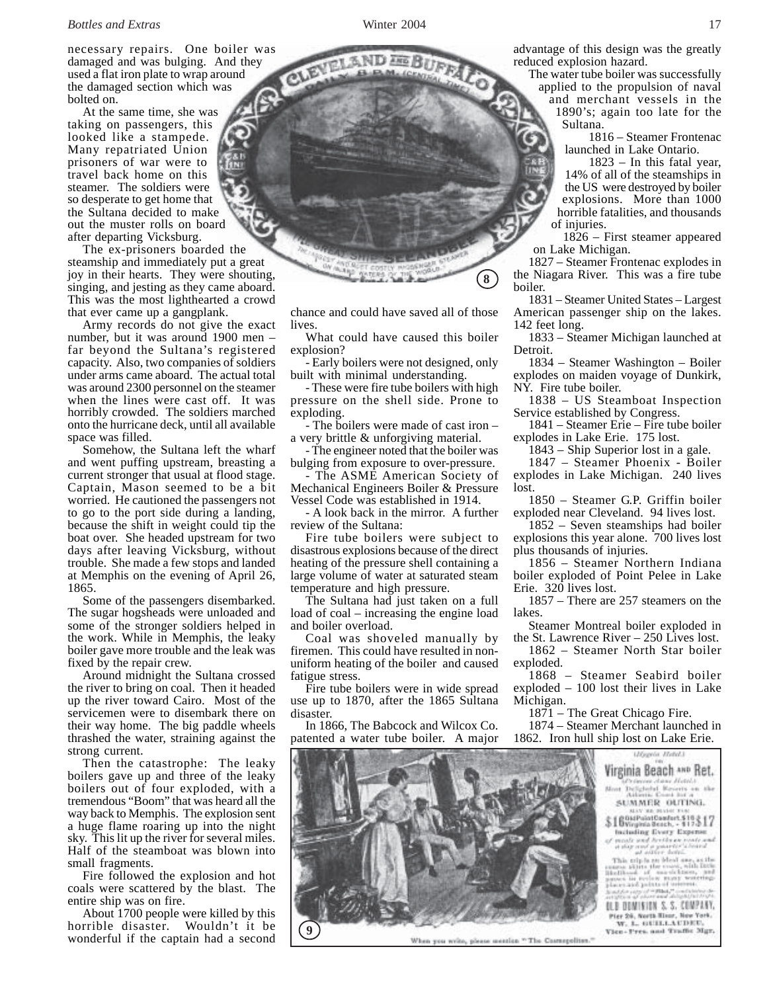necessary repairs. One boiler was damaged and was bulging. And they used a flat iron plate to wrap around the damaged section which was bolted on.

At the same time, she was taking on passengers, this looked like a stampede. Many repatriated Union prisoners of war were to travel back home on this steamer. The soldiers were so desperate to get home that the Sultana decided to make out the muster rolls on board after departing Vicksburg.

The ex-prisoners boarded the steamship and immediately put a great joy in their hearts. They were shouting, singing, and jesting as they came aboard. This was the most lighthearted a crowd that ever came up a gangplank.

Army records do not give the exact number, but it was around 1900 men – far beyond the Sultana's registered capacity. Also, two companies of soldiers under arms came aboard. The actual total was around 2300 personnel on the steamer when the lines were cast off. It was horribly crowded. The soldiers marched onto the hurricane deck, until all available space was filled.

Somehow, the Sultana left the wharf and went puffing upstream, breasting a current stronger that usual at flood stage. Captain, Mason seemed to be a bit worried. He cautioned the passengers not to go to the port side during a landing, because the shift in weight could tip the boat over. She headed upstream for two days after leaving Vicksburg, without trouble. She made a few stops and landed at Memphis on the evening of April 26, 1865.

Some of the passengers disembarked. The sugar hogsheads were unloaded and some of the stronger soldiers helped in the work. While in Memphis, the leaky boiler gave more trouble and the leak was fixed by the repair crew.

Around midnight the Sultana crossed the river to bring on coal. Then it headed up the river toward Cairo. Most of the servicemen were to disembark there on their way home. The big paddle wheels thrashed the water, straining against the strong current.

Then the catastrophe: The leaky boilers gave up and three of the leaky boilers out of four exploded, with a tremendous "Boom" that was heard all the way back to Memphis. The explosion sent a huge flame roaring up into the night sky. This lit up the river for several miles. Half of the steamboat was blown into small fragments.

Fire followed the explosion and hot coals were scattered by the blast. The entire ship was on fire.

About 1700 people were killed by this horrible disaster. Wouldn't it be wonderful if the captain had a second

chance and could have saved all of those lives.

**8**

What could have caused this boiler explosion?

- Early boilers were not designed, only built with minimal understanding.

- These were fire tube boilers with high pressure on the shell side. Prone to exploding.

- The boilers were made of cast iron – a very brittle & unforgiving material.

- The engineer noted that the boiler was bulging from exposure to over-pressure.

The ASME American Society of Mechanical Engineers Boiler & Pressure Vessel Code was established in 1914.

- A look back in the mirror. A further review of the Sultana:

Fire tube boilers were subject to disastrous explosions because of the direct heating of the pressure shell containing a large volume of water at saturated steam temperature and high pressure.

The Sultana had just taken on a full load of coal – increasing the engine load and boiler overload.

Coal was shoveled manually by firemen. This could have resulted in nonuniform heating of the boiler and caused fatigue stress.

Fire tube boilers were in wide spread use up to 1870, after the 1865 Sultana disaster.

In 1866, The Babcock and Wilcox Co. patented a water tube boiler. A major advantage of this design was the greatly reduced explosion hazard.

The water tube boiler was successfully applied to the propulsion of naval and merchant vessels in the 1890's; again too late for the

Sultana. 1816 – Steamer Frontenac

launched in Lake Ontario.

 1823 – In this fatal year, 14% of all of the steamships in the US were destroyed by boiler explosions. More than 1000 horrible fatalities, and thousands of injuries.

 1826 – First steamer appeared on Lake Michigan.

1827 – Steamer Frontenac explodes in the Niagara River. This was a fire tube boiler.

1831 – Steamer United States – Largest American passenger ship on the lakes. 142 feet long.

1833 – Steamer Michigan launched at Detroit.

1834 – Steamer Washington – Boiler explodes on maiden voyage of Dunkirk, NY. Fire tube boiler.

1838 – US Steamboat Inspection Service established by Congress.

1841 – Steamer Erie – Fire tube boiler explodes in Lake Erie. 175 lost.

1843 – Ship Superior lost in a gale.

1847 – Steamer Phoenix - Boiler explodes in Lake Michigan. 240 lives lost.

1850 – Steamer G.P. Griffin boiler exploded near Cleveland. 94 lives lost.

1852 – Seven steamships had boiler explosions this year alone. 700 lives lost plus thousands of injuries.

1856 – Steamer Northern Indiana boiler exploded of Point Pelee in Lake Erie. 320 lives lost.

1857 – There are 257 steamers on the lakes.

Steamer Montreal boiler exploded in the St. Lawrence River – 250 Lives lost.

1862 – Steamer North Star boiler exploded.

1868 – Steamer Seabird boiler exploded – 100 lost their lives in Lake Michigan.

1871 – The Great Chicago Fire.

1874 – Steamer Merchant launched in 1862. Iron hull ship lost on Lake Erie.



When you write, please mention "The Casturpolites.



Vice-Pres. and Traffic Mgr.

**DANGR** 

CLE